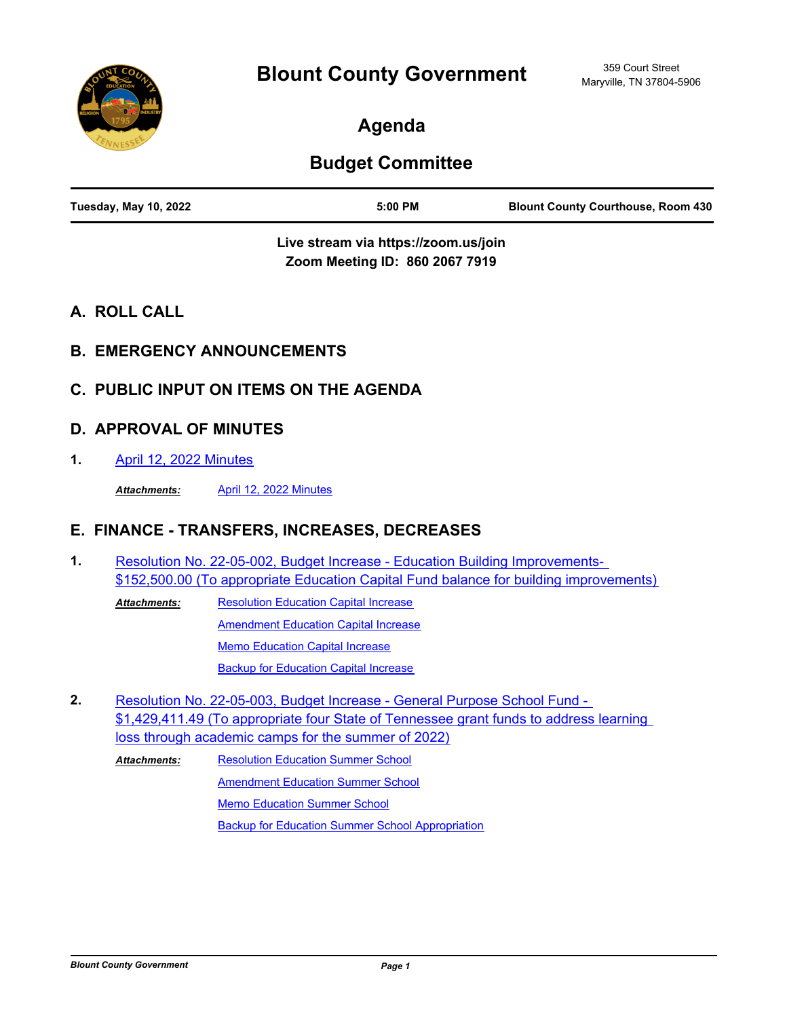

# **Agenda**

# **Budget Committee**

| <b>Tuesday, May 10, 2022</b><br>5:00 PM |  |  | <b>Blount County Courthouse, Room 430</b> |
|-----------------------------------------|--|--|-------------------------------------------|
|-----------------------------------------|--|--|-------------------------------------------|

**Live stream via https://zoom.us/join Zoom Meeting ID: 860 2067 7919**

- **A. ROLL CALL**
- **B. EMERGENCY ANNOUNCEMENTS**
- **C. PUBLIC INPUT ON ITEMS ON THE AGENDA**

### **D. APPROVAL OF MINUTES**

**1.** [April 12, 2022 Minutes](http://blounttn.legistar.com/gateway.aspx?m=l&id=/matter.aspx?key=3715)

*Attachments:* [April 12, 2022 Minutes](http://blounttn.legistar.com/gateway.aspx?M=F&ID=37ffb71f-3a44-4f46-a8f9-769c926351ae.pdf)

## **E. FINANCE - TRANSFERS, INCREASES, DECREASES**

Resolution No. 22-05-002, Budget Increase - Education Building Improvements- [\\$152,500.00 \(To appropriate Education Capital Fund balance for building improvements\)](http://blounttn.legistar.com/gateway.aspx?m=l&id=/matter.aspx?key=3728) **1.**

[Resolution Education Capital Increase](http://blounttn.legistar.com/gateway.aspx?M=F&ID=f1da5fdb-6cb5-4c6b-b696-be3e2ab1dcf0.pdf) [Amendment Education Capital Increase](http://blounttn.legistar.com/gateway.aspx?M=F&ID=8e2ce3dc-6bc0-4f58-ac71-6df6f981f3eb.pdf) [Memo Education Capital Increase](http://blounttn.legistar.com/gateway.aspx?M=F&ID=fa1481f4-897e-4689-9d49-42e6b7f04bc2.pdf) [Backup for Education Capital Increase](http://blounttn.legistar.com/gateway.aspx?M=F&ID=179846ed-51f5-4c76-b041-9e36a809884d.pdf) *Attachments:*

Resolution No. 22-05-003, Budget Increase - General Purpose School Fund - [\\$1,429,411.49 \(To appropriate four State of Tennessee grant funds to address learning](http://blounttn.legistar.com/gateway.aspx?m=l&id=/matter.aspx?key=3736)  loss through academic camps for the summer of 2022) **2.**

[Resolution Education Summer School](http://blounttn.legistar.com/gateway.aspx?M=F&ID=e5ab1210-27d5-41d0-88f4-8fd21118d801.pdf) **[Amendment Education Summer School](http://blounttn.legistar.com/gateway.aspx?M=F&ID=127c5516-69e0-42bb-9256-b6b724ca361f.pdf)** [Memo Education Summer School](http://blounttn.legistar.com/gateway.aspx?M=F&ID=cd5a31b7-cad4-4dfb-9cec-8882dad7c4cb.pdf) [Backup for Education Summer School Appropriation](http://blounttn.legistar.com/gateway.aspx?M=F&ID=727f0fd0-635a-46b7-940f-8dcf8d433413.pdf) *Attachments:*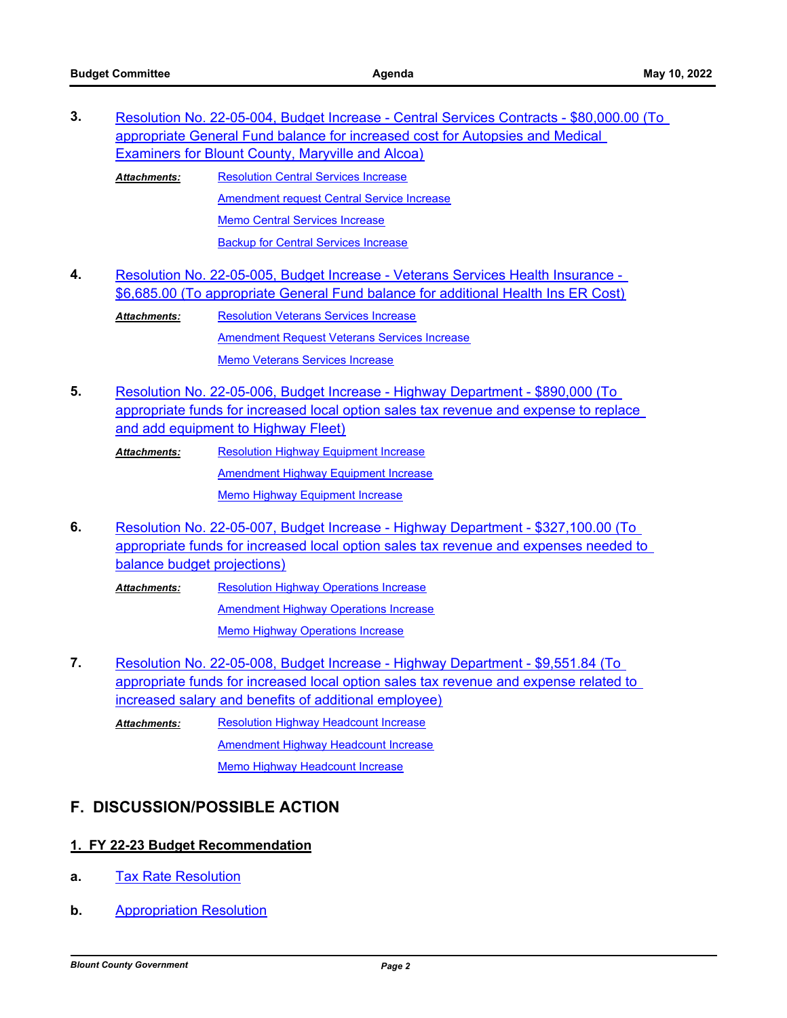| 3. | Resolution No. 22-05-004, Budget Increase - Central Services Contracts - \$80,000.00 (To |                                                                                  |  |  |  |
|----|------------------------------------------------------------------------------------------|----------------------------------------------------------------------------------|--|--|--|
|    | appropriate General Fund balance for increased cost for Autopsies and Medical            |                                                                                  |  |  |  |
|    |                                                                                          | Examiners for Blount County, Maryville and Alcoa)                                |  |  |  |
|    | <b>Attachments:</b>                                                                      | <b>Resolution Central Services Increase</b>                                      |  |  |  |
|    |                                                                                          | Amendment request Central Service Increase                                       |  |  |  |
|    |                                                                                          | <b>Memo Central Services Increase</b>                                            |  |  |  |
|    |                                                                                          | <b>Backup for Central Services Increase</b>                                      |  |  |  |
| 4. |                                                                                          | Resolution No. 22-05-005, Budget Increase - Veterans Services Health Insurance - |  |  |  |
|    | \$6,685.00 (To appropriate General Fund balance for additional Health Ins ER Cost)       |                                                                                  |  |  |  |
|    | <b>Attachments:</b>                                                                      | <b>Resolution Veterans Services Increase</b>                                     |  |  |  |
|    |                                                                                          | <b>Amendment Request Veterans Services Increase</b>                              |  |  |  |
|    |                                                                                          | <b>Memo Veterans Services Increase</b>                                           |  |  |  |
|    |                                                                                          |                                                                                  |  |  |  |

Resolution No. 22-05-006, Budget Increase - Highway Department - \$890,000 (To [appropriate funds for increased local option sales tax revenue and expense to replace](http://blounttn.legistar.com/gateway.aspx?m=l&id=/matter.aspx?key=3754)  and add equipment to Highway Fleet) **5.**

[Resolution Highway Equipment Increase](http://blounttn.legistar.com/gateway.aspx?M=F&ID=1da620f3-c2ac-4b8f-8c71-c9fbcaeb6a53.pdf) **[Amendment Highway Equipment Increase](http://blounttn.legistar.com/gateway.aspx?M=F&ID=ed883a2e-a432-4ffa-9962-a79d11ab11d9.pdf)** [Memo Highway Equipment Increase](http://blounttn.legistar.com/gateway.aspx?M=F&ID=74bdebfb-f17a-4670-a1bb-c3720880b8e0.pdf) *Attachments:*

Resolution No. 22-05-007, Budget Increase - Highway Department - \$327,100.00 (To [appropriate funds for increased local option sales tax revenue and expenses needed to](http://blounttn.legistar.com/gateway.aspx?m=l&id=/matter.aspx?key=3755)  balance budget projections) **6.**

[Resolution Highway Operations Increase](http://blounttn.legistar.com/gateway.aspx?M=F&ID=fb446214-1d0e-4a44-b32b-7f8ff30bea85.pdf) **[Amendment Highway Operations Increase](http://blounttn.legistar.com/gateway.aspx?M=F&ID=9d553c2e-d135-43c4-a104-06a7ae38d197.pdf)** [Memo Highway Operations Increase](http://blounttn.legistar.com/gateway.aspx?M=F&ID=f51e82c8-004e-4440-b757-f59c47928dd4.pdf) *Attachments:*

Resolution No. 22-05-008, Budget Increase - Highway Department - \$9,551.84 (To [appropriate funds for increased local option sales tax revenue and expense related to](http://blounttn.legistar.com/gateway.aspx?m=l&id=/matter.aspx?key=3756)  increased salary and benefits of additional employee) **7.**

[Resolution Highway Headcount Increase](http://blounttn.legistar.com/gateway.aspx?M=F&ID=08ea679e-1a95-4fcd-8497-3ee452786f40.pdf) **[Amendment Highway Headcount Increase](http://blounttn.legistar.com/gateway.aspx?M=F&ID=6fe637d5-66cb-4484-80a1-b7d1dde122cc.pdf)** [Memo Highway Headcount Increase](http://blounttn.legistar.com/gateway.aspx?M=F&ID=c0ee6815-e9b0-490e-af83-82e5158b64ce.pdf) *Attachments:*

### **F. DISCUSSION/POSSIBLE ACTION**

#### **1. FY 22-23 Budget Recommendation**

- **a.** [Tax Rate Resolution](http://blounttn.legistar.com/gateway.aspx?m=l&id=/matter.aspx?key=3737)
- **b.** [Appropriation Resolution](http://blounttn.legistar.com/gateway.aspx?m=l&id=/matter.aspx?key=3741)